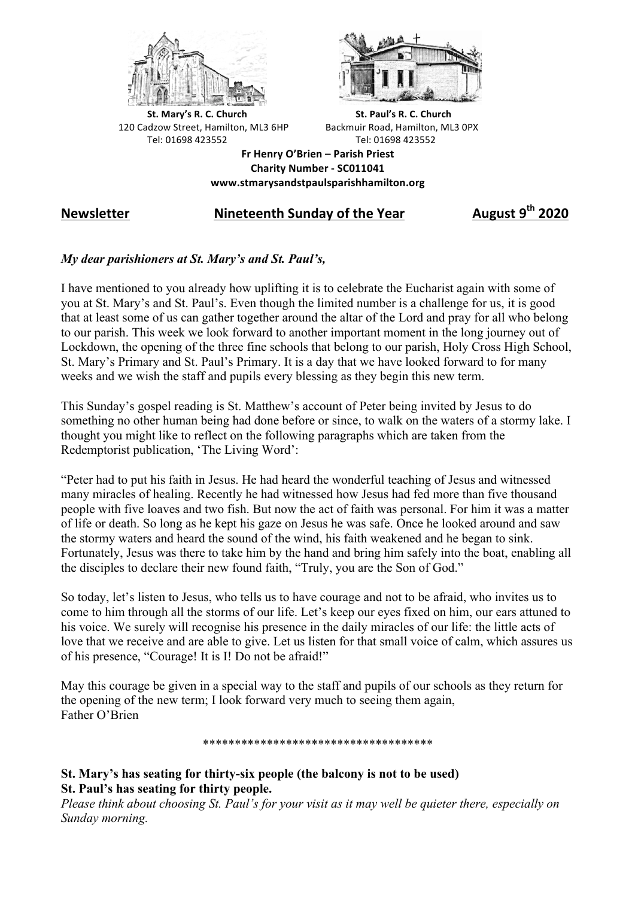



**St.** Mary's R. C. Church St. Paul's R. C. Church 120 Cadzow Street, Hamilton, ML3 6HP Backmuir Road, Hamilton, ML3 0PX Tel: 01698 423552 Tel: 01698 423552

**Fr Henry O'Brien – Parish Priest Charity Number - SC011041 www.stmarysandstpaulsparishhamilton.org**

# **Newsletter Nineteenth Sunday of the Year August 9th 2020**

## *My dear parishioners at St. Mary's and St. Paul's,*

I have mentioned to you already how uplifting it is to celebrate the Eucharist again with some of you at St. Mary's and St. Paul's. Even though the limited number is a challenge for us, it is good that at least some of us can gather together around the altar of the Lord and pray for all who belong to our parish. This week we look forward to another important moment in the long journey out of Lockdown, the opening of the three fine schools that belong to our parish, Holy Cross High School, St. Mary's Primary and St. Paul's Primary. It is a day that we have looked forward to for many weeks and we wish the staff and pupils every blessing as they begin this new term.

This Sunday's gospel reading is St. Matthew's account of Peter being invited by Jesus to do something no other human being had done before or since, to walk on the waters of a stormy lake. I thought you might like to reflect on the following paragraphs which are taken from the Redemptorist publication, 'The Living Word':

"Peter had to put his faith in Jesus. He had heard the wonderful teaching of Jesus and witnessed many miracles of healing. Recently he had witnessed how Jesus had fed more than five thousand people with five loaves and two fish. But now the act of faith was personal. For him it was a matter of life or death. So long as he kept his gaze on Jesus he was safe. Once he looked around and saw the stormy waters and heard the sound of the wind, his faith weakened and he began to sink. Fortunately, Jesus was there to take him by the hand and bring him safely into the boat, enabling all the disciples to declare their new found faith, "Truly, you are the Son of God."

So today, let's listen to Jesus, who tells us to have courage and not to be afraid, who invites us to come to him through all the storms of our life. Let's keep our eyes fixed on him, our ears attuned to his voice. We surely will recognise his presence in the daily miracles of our life: the little acts of love that we receive and are able to give. Let us listen for that small voice of calm, which assures us of his presence, "Courage! It is I! Do not be afraid!"

May this courage be given in a special way to the staff and pupils of our schools as they return for the opening of the new term; I look forward very much to seeing them again, Father O'Brien

\*\*\*\*\*\*\*\*\*\*\*\*\*\*\*\*\*\*\*\*\*\*\*\*\*\*\*\*\*\*\*\*\*\*\*\*

### **St. Mary's has seating for thirty-six people (the balcony is not to be used) St. Paul's has seating for thirty people.**

*Please think about choosing St. Paul's for your visit as it may well be quieter there, especially on Sunday morning.*